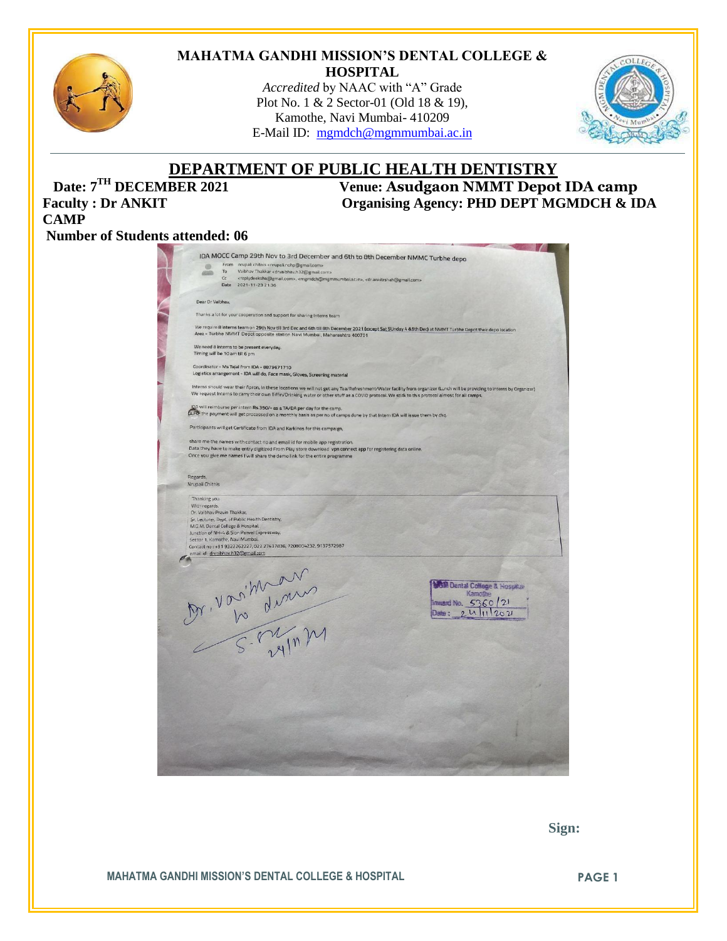

#### **MAHATMA GANDHI MISSION'S DENTAL COLLEGE & HOSPITAL**

*Accredited* by NAAC with "A" Grade Plot No. 1 & 2 Sector-01 (Old 18 & 19), Kamothe, Navi Mumbai- 410209 E-Mail ID: [mgmdch@mgmmumbai.ac.in](mailto:mgmdch@mgmmumbai.ac.in)



# **DEPARTMENT OF PUBLIC HEALTH DENTISTRY**<br>Venue: Asudgaon NMMT Depot

**CAMP**

**Date:**  $7^{\text{TH}}$  **DECEMBER 2021** Venue: **Asudgaon NMMT Depot IDA camp**<br>**Faculty** : Dr ANKIT Organising Agency: PHD DEPT MGMDCH & II Organising Agency: PHD DEPT MGMDCH & IDA

## **Number of Students attended: 06**

| GB <sub>1</sub>                | IDA MOCC Camp 29th Nov to 3rd December and 6th to 8th December NMMC Turbhe depo<br>From nrupali chitnis «nrupali.nohp@gmail.com»                                                                                                                                                                                           |
|--------------------------------|----------------------------------------------------------------------------------------------------------------------------------------------------------------------------------------------------------------------------------------------------------------------------------------------------------------------------|
|                                | Vaibhav Thakkar <drvaibhav.h32@gmail.com><br/>To<br/>Cc</drvaibhav.h32@gmail.com>                                                                                                                                                                                                                                          |
|                                | <replydeeksha@gmail.com>, <mgmdch@mgmmumbai.ac.in>, <dr.ankitrshah@gmail.com><br/>Date<br/>2021-11-23 21:36</dr.ankitrshah@gmail.com></mgmdch@mgmmumbai.ac.in></replydeeksha@gmail.com>                                                                                                                                    |
| Dear Dr Vaibhav,               |                                                                                                                                                                                                                                                                                                                            |
|                                | Thanks a lot for your cooperation and support for sharing Interns team                                                                                                                                                                                                                                                     |
|                                | We require 8 interns team on 29th Nov till 3rd Dec and 6th till 8th December 2021 (except Sat SUnday 4 85th Dec) at NMMT Turbhe Depot their depo location<br>Area - Turbhe NMMT Depot opposite station Navi Mumbai, Maharashtra 400701                                                                                     |
|                                | We need 8 interns to be present everyday.<br>Timing will be 10 am till 6 pm                                                                                                                                                                                                                                                |
|                                | Coordinator - Ms Tejal from IDA - 8879671710<br>Logistics arrangement - IDA will do, Face mask, Gloves, Screening material                                                                                                                                                                                                 |
|                                | Interns should wear their Apron, In these locations we will not get any Tea/Refreshment/Water facility from organizer (Lunch will be providing to Interns by Organizer)<br>We request Interns to carry their own Tiffin/Drinking water or other stuff as a COVID protocol. We stick to this protocol almost for all camps. |
|                                | IDA will reimburse per intern Rs.350/- as a TA/DA per day for the camp.<br>(a,Fd) the payment will get processed on a monthly basis as per no of camps done by that Intern IDA will issue them by chq.                                                                                                                     |
|                                | Participants will get Certificate from IDA and Karkinos for this campaign,                                                                                                                                                                                                                                                 |
|                                | share me the names with contact no and email id for mobile app registration.<br>Data they have to make entry digitized From Play store download vpn connect app for registering data online.<br>Once you give me names I will share the demo link for the entire programme                                                 |
| Regards,<br>Nrupali Chitnis    |                                                                                                                                                                                                                                                                                                                            |
| Thanking you.<br>With regards. |                                                                                                                                                                                                                                                                                                                            |
|                                | Dr. Vaibhav Pravin Thakkar,<br>Sr. Lecturer, Dept. of Public Health Dentistry,<br>M.G.M. Dental College & Hospital,<br>Junction of NH-4 & Sion Panvel Expressway,<br>Sector 1, Kamothe, Navi Mumbai.<br>Contact no: +91 9322262227, 022 27437836, 7208004232, 9137572987<br>ernail id : drvaibhav.h32@gmail.com            |
|                                | <b>5M Dental College &amp; Hosphan</b><br>Karacibe<br>Inward No. 5360/21<br>11202<br>Date :                                                                                                                                                                                                                                |
|                                |                                                                                                                                                                                                                                                                                                                            |
|                                | Dr. Vosition                                                                                                                                                                                                                                                                                                               |
|                                |                                                                                                                                                                                                                                                                                                                            |
|                                |                                                                                                                                                                                                                                                                                                                            |
|                                |                                                                                                                                                                                                                                                                                                                            |

 **Sign:**

**MAHATMA GANDHI MISSION'S DENTAL COLLEGE & HOSPITAL PAGE 1**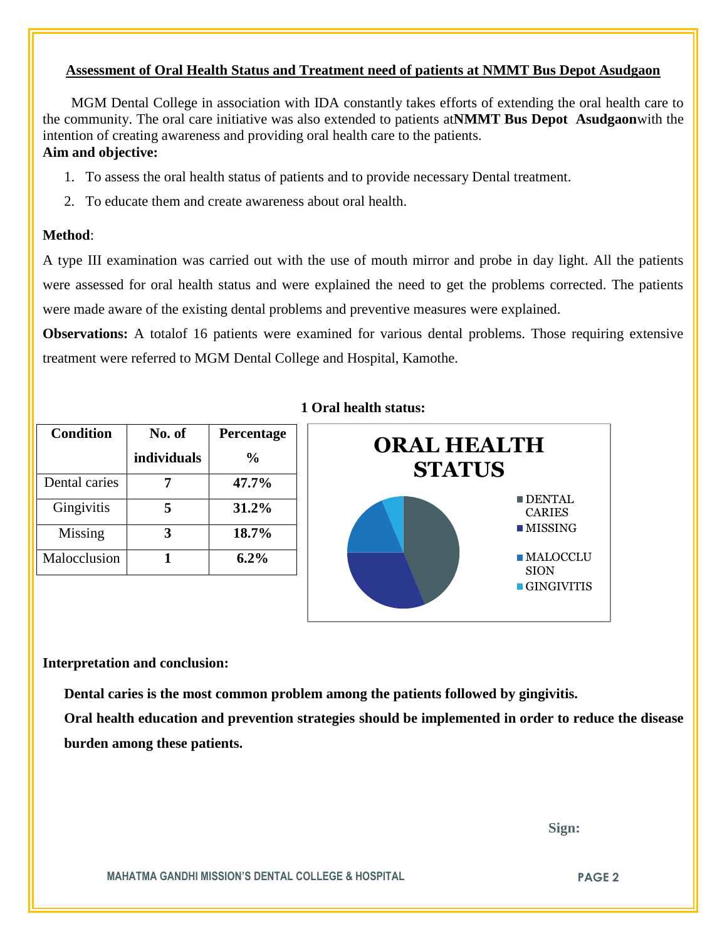## **Assessment of Oral Health Status and Treatment need of patients at NMMT Bus Depot Asudgaon**

 MGM Dental College in association with IDA constantly takes efforts of extending the oral health care to the community. The oral care initiative was also extended to patients at**NMMT Bus Depot Asudgaon**with the intention of creating awareness and providing oral health care to the patients.

## **Aim and objective:**

- 1. To assess the oral health status of patients and to provide necessary Dental treatment.
- 2. To educate them and create awareness about oral health.

## **Method**:

A type III examination was carried out with the use of mouth mirror and probe in day light. All the patients were assessed for oral health status and were explained the need to get the problems corrected. The patients were made aware of the existing dental problems and preventive measures were explained.

**Observations:** A totalof 16 patients were examined for various dental problems. Those requiring extensive treatment were referred to MGM Dental College and Hospital, Kamothe.

| <b>Condition</b> | No. of      | Percentage    |
|------------------|-------------|---------------|
|                  | individuals | $\frac{1}{2}$ |
| Dental caries    |             | 47.7%         |
| Gingivitis       |             | 31.2%         |
| Missing          |             | 18.7%         |
| Malocclusion     |             | $6.2\%$       |

## **1 Oral health status:**



## **Interpretation and conclusion:**

 **Dental caries is the most common problem among the patients followed by gingivitis.**

**Oral health education and prevention strategies should be implemented in order to reduce the disease burden among these patients.**

 **Sign:**

**MAHATMA GANDHI MISSION'S DENTAL COLLEGE & HOSPITAL PAGE 2**